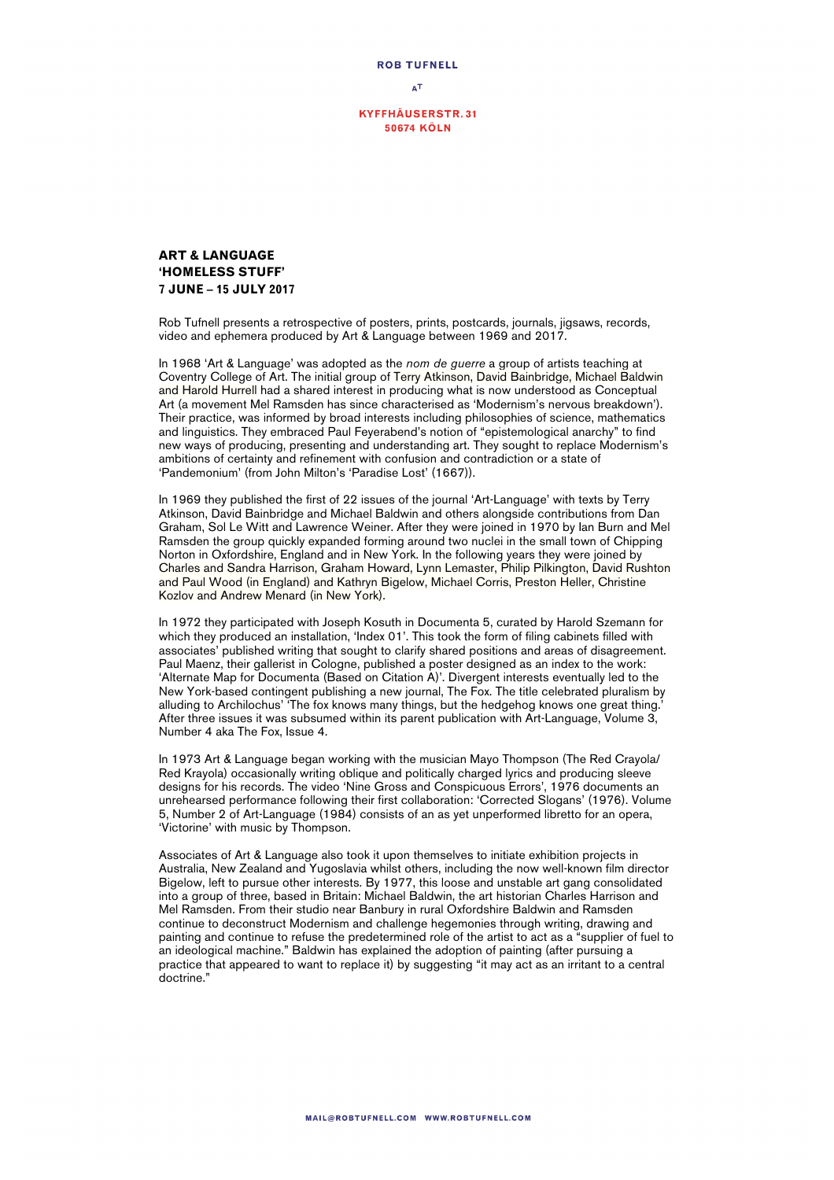

 $\mathbf{A}^{\mathsf{T}}$ 

**KYFFHÄUSERSTR.31 50674 KÖLN** 

## **ART & LANGUAGE 'HOMELESS STUFF' 7 JUNE – 15 JULY 2017**

Rob Tufnell presents a retrospective of posters, prints, postcards, journals, jigsaws, records, video and ephemera produced by Art & Language between 1969 and 2017.

In 1968 'Art & Language' was adopted as the *nom de guerre* a group of artists teaching at Coventry College of Art. The initial group of Terry Atkinson, David Bainbridge, Michael Baldwin and Harold Hurrell had a shared interest in producing what is now understood as Conceptual Art (a movement Mel Ramsden has since characterised as 'Modernism's nervous breakdown'). Their practice, was informed by broad interests including philosophies of science, mathematics and linguistics. They embraced Paul Feyerabend's notion of "epistemological anarchy" to find new ways of producing, presenting and understanding art. They sought to replace Modernism's ambitions of certainty and refinement with confusion and contradiction or a state of 'Pandemonium' (from John Milton's 'Paradise Lost' (1667)).

In 1969 they published the first of 22 issues of the journal 'Art-Language' with texts by Terry Atkinson, David Bainbridge and Michael Baldwin and others alongside contributions from Dan Graham, Sol Le Witt and Lawrence Weiner. After they were joined in 1970 by Ian Burn and Mel Ramsden the group quickly expanded forming around two nuclei in the small town of Chipping Norton in Oxfordshire, England and in New York. In the following years they were joined by Charles and Sandra Harrison, Graham Howard, Lynn Lemaster, Philip Pilkington, David Rushton and Paul Wood (in England) and Kathryn Bigelow, Michael Corris, Preston Heller, Christine Kozlov and Andrew Menard (in New York).

In 1972 they participated with Joseph Kosuth in Documenta 5, curated by Harold Szemann for which they produced an installation, 'Index 01'. This took the form of filing cabinets filled with associates' published writing that sought to clarify shared positions and areas of disagreement. Paul Maenz, their gallerist in Cologne, published a poster designed as an index to the work: 'Alternate Map for Documenta (Based on Citation A)'. Divergent interests eventually led to the New York-based contingent publishing a new journal, The Fox. The title celebrated pluralism by alluding to Archilochus' 'The fox knows many things, but the hedgehog knows one great thing.' After three issues it was subsumed within its parent publication with Art-Language, Volume 3, Number 4 aka The Fox, Issue 4.

In 1973 Art & Language began working with the musician Mayo Thompson (The Red Crayola/ Red Krayola) occasionally writing oblique and politically charged lyrics and producing sleeve designs for his records. The video 'Nine Gross and Conspicuous Errors', 1976 documents an unrehearsed performance following their first collaboration: 'Corrected Slogans' (1976). Volume 5, Number 2 of Art-Language (1984) consists of an as yet unperformed libretto for an opera, 'Victorine' with music by Thompson.

Associates of Art & Language also took it upon themselves to initiate exhibition projects in Australia, New Zealand and Yugoslavia whilst others, including the now well-known film director Bigelow, left to pursue other interests. By 1977, this loose and unstable art gang consolidated into a group of three, based in Britain: Michael Baldwin, the art historian Charles Harrison and Mel Ramsden. From their studio near Banbury in rural Oxfordshire Baldwin and Ramsden continue to deconstruct Modernism and challenge hegemonies through writing, drawing and painting and continue to refuse the predetermined role of the artist to act as a "supplier of fuel to an ideological machine." Baldwin has explained the adoption of painting (after pursuing a practice that appeared to want to replace it) by suggesting "it may act as an irritant to a central doctrine."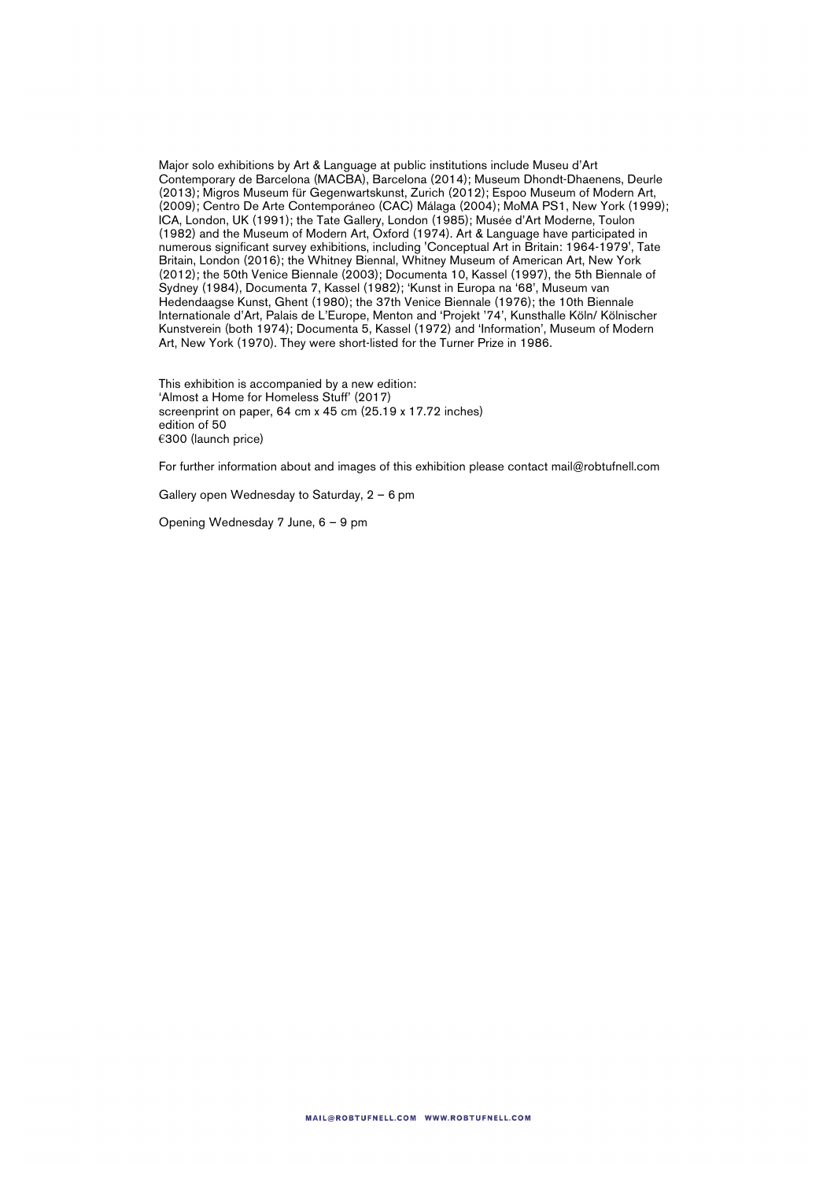Major solo exhibitions by Art & Language at public institutions include Museu d'Art Contemporary de Barcelona (MACBA), Barcelona (2014); Museum Dhondt-Dhaenens, Deurle (2013); Migros Museum für Gegenwartskunst, Zurich (2012); Espoo Museum of Modern Art, (2009); Centro De Arte Contemporáneo (CAC) Málaga (2004); MoMA PS1, New York (1999); ICA, London, UK (1991); the Tate Gallery, London (1985); Musée d'Art Moderne, Toulon (1982) and the Museum of Modern Art, Oxford (1974). Art & Language have participated in numerous significant survey exhibitions, including 'Conceptual Art in Britain: 1964-1979', Tate Britain, London (2016); the Whitney Biennal, Whitney Museum of American Art, New York (2012); the 50th Venice Biennale (2003); Documenta 10, Kassel (1997), the 5th Biennale of Sydney (1984), Documenta 7, Kassel (1982); 'Kunst in Europa na '68', Museum van Hedendaagse Kunst, Ghent (1980); the 37th Venice Biennale (1976); the 10th Biennale Internationale d'Art, Palais de L'Europe, Menton and 'Projekt '74', Kunsthalle Köln/ Kölnischer Kunstverein (both 1974); Documenta 5, Kassel (1972) and 'Information', Museum of Modern Art, New York (1970). They were short-listed for the Turner Prize in 1986.

This exhibition is accompanied by a new edition: 'Almost a Home for Homeless Stuff' (2017) screenprint on paper, 64 cm x 45 cm (25.19 x 17.72 inches) edition of 50 €300 (launch price)

For further information about and images of this exhibition please contact mail@robtufnell.com

Gallery open Wednesday to Saturday, 2 – 6 pm

Opening Wednesday 7 June, 6 – 9 pm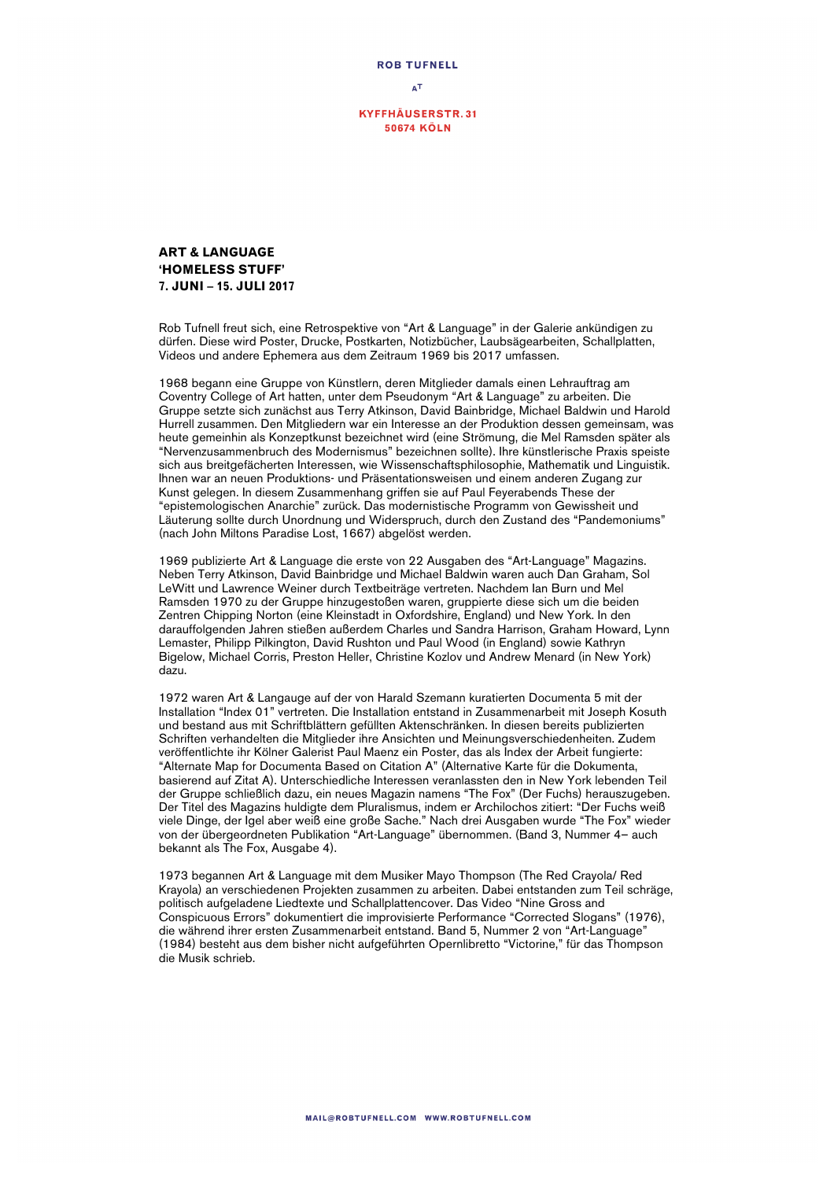

**KYFFHÄUSERSTR.31 50674 KÖLN** 

## **ART & LANGUAGE 'HOMELESS STUFF' 7. JUNI – 15. JULI 2017**

Rob Tufnell freut sich, eine Retrospektive von "Art & Language" in der Galerie ankündigen zu dürfen. Diese wird Poster, Drucke, Postkarten, Notizbücher, Laubsägearbeiten, Schallplatten, Videos und andere Ephemera aus dem Zeitraum 1969 bis 2017 umfassen.

1968 begann eine Gruppe von Künstlern, deren Mitglieder damals einen Lehrauftrag am Coventry College of Art hatten, unter dem Pseudonym "Art & Language" zu arbeiten. Die Gruppe setzte sich zunächst aus Terry Atkinson, David Bainbridge, Michael Baldwin und Harold Hurrell zusammen. Den Mitgliedern war ein Interesse an der Produktion dessen gemeinsam, was heute gemeinhin als Konzeptkunst bezeichnet wird (eine Strömung, die Mel Ramsden später als "Nervenzusammenbruch des Modernismus" bezeichnen sollte). Ihre künstlerische Praxis speiste sich aus breitgefächerten Interessen, wie Wissenschaftsphilosophie, Mathematik und Linguistik. Ihnen war an neuen Produktions- und Präsentationsweisen und einem anderen Zugang zur Kunst gelegen. In diesem Zusammenhang griffen sie auf Paul Feyerabends These der "epistemologischen Anarchie" zurück. Das modernistische Programm von Gewissheit und Läuterung sollte durch Unordnung und Widerspruch, durch den Zustand des "Pandemoniums" (nach John Miltons Paradise Lost, 1667) abgelöst werden.

1969 publizierte Art & Language die erste von 22 Ausgaben des "Art-Language" Magazins. Neben Terry Atkinson, David Bainbridge und Michael Baldwin waren auch Dan Graham, Sol LeWitt und Lawrence Weiner durch Textbeiträge vertreten. Nachdem Ian Burn und Mel Ramsden 1970 zu der Gruppe hinzugestoßen waren, gruppierte diese sich um die beiden Zentren Chipping Norton (eine Kleinstadt in Oxfordshire, England) und New York. In den darauffolgenden Jahren stießen außerdem Charles und Sandra Harrison, Graham Howard, Lynn Lemaster, Philipp Pilkington, David Rushton und Paul Wood (in England) sowie Kathryn Bigelow, Michael Corris, Preston Heller, Christine Kozlov und Andrew Menard (in New York) dazu.

1972 waren Art & Langauge auf der von Harald Szemann kuratierten Documenta 5 mit der Installation "Index 01" vertreten. Die Installation entstand in Zusammenarbeit mit Joseph Kosuth und bestand aus mit Schriftblättern gefüllten Aktenschränken. In diesen bereits publizierten Schriften verhandelten die Mitglieder ihre Ansichten und Meinungsverschiedenheiten. Zudem veröffentlichte ihr Kölner Galerist Paul Maenz ein Poster, das als Index der Arbeit fungierte: "Alternate Map for Documenta Based on Citation A" (Alternative Karte für die Dokumenta, basierend auf Zitat A). Unterschiedliche Interessen veranlassten den in New York lebenden Teil der Gruppe schließlich dazu, ein neues Magazin namens "The Fox" (Der Fuchs) herauszugeben. Der Titel des Magazins huldigte dem Pluralismus, indem er Archilochos zitiert: "Der Fuchs weiß viele Dinge, der Igel aber weiß eine große Sache." Nach drei Ausgaben wurde "The Fox" wieder von der übergeordneten Publikation "Art-Language" übernommen. (Band 3, Nummer 4– auch bekannt als The Fox, Ausgabe 4).

1973 begannen Art & Language mit dem Musiker Mayo Thompson (The Red Crayola/ Red Krayola) an verschiedenen Projekten zusammen zu arbeiten. Dabei entstanden zum Teil schräge, politisch aufgeladene Liedtexte und Schallplattencover. Das Video "Nine Gross and Conspicuous Errors" dokumentiert die improvisierte Performance "Corrected Slogans" (1976), die während ihrer ersten Zusammenarbeit entstand. Band 5, Nummer 2 von "Art-Language" (1984) besteht aus dem bisher nicht aufgeführten Opernlibretto "Victorine," für das Thompson die Musik schrieb.